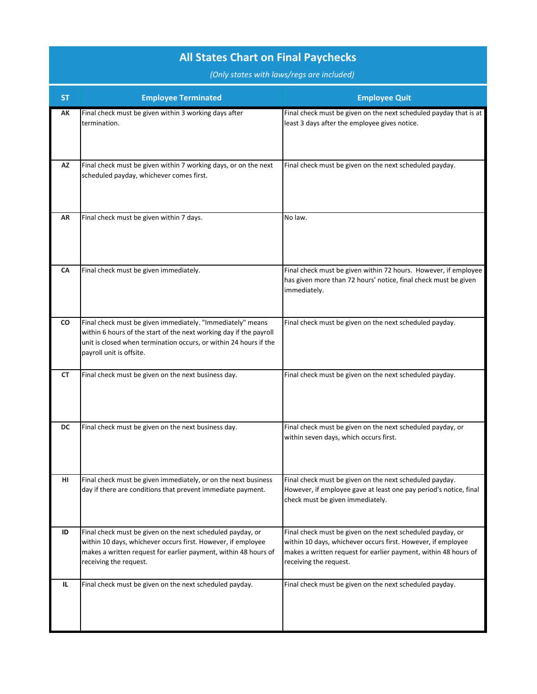| <b>ST</b> | <b>Employee Terminated</b>                                                                                                                                                                                                        | <b>Employee Quit</b>                                                                                                                                                                                                    |
|-----------|-----------------------------------------------------------------------------------------------------------------------------------------------------------------------------------------------------------------------------------|-------------------------------------------------------------------------------------------------------------------------------------------------------------------------------------------------------------------------|
| AK        | Final check must be given within 3 working days after<br>termination.                                                                                                                                                             | Final check must be given on the next scheduled payday that is at<br>least 3 days after the employee gives notice.                                                                                                      |
| AZ        | Final check must be given within 7 working days, or on the next<br>scheduled payday, whichever comes first.                                                                                                                       | Final check must be given on the next scheduled payday.                                                                                                                                                                 |
| AR        | Final check must be given within 7 days.                                                                                                                                                                                          | No law.                                                                                                                                                                                                                 |
| CA        | Final check must be given immediately.                                                                                                                                                                                            | Final check must be given within 72 hours. However, if employee<br>has given more than 72 hours' notice, final check must be given<br>immediately.                                                                      |
| <b>CO</b> | Final check must be given immediately. "Immediately" means<br>within 6 hours of the start of the next working day if the payroll<br>unit is closed when termination occurs, or within 24 hours if the<br>payroll unit is offsite. | Final check must be given on the next scheduled payday.                                                                                                                                                                 |
| <b>CT</b> | Final check must be given on the next business day.                                                                                                                                                                               | Final check must be given on the next scheduled payday.                                                                                                                                                                 |
| <b>DC</b> | Final check must be given on the next business day.                                                                                                                                                                               | Final check must be given on the next scheduled payday, or<br>within seven days, which occurs first.                                                                                                                    |
| HI.       | Final check must be given immediately, or on the next business<br>day if there are conditions that prevent immediate payment.                                                                                                     | Final check must be given on the next scheduled payday.<br>However, if employee gave at least one pay period's notice, final<br>check must be given immediately.                                                        |
| ID        | Final check must be given on the next scheduled payday, or<br>within 10 days, whichever occurs first. However, if employee<br>makes a written request for earlier payment, within 48 hours of<br>receiving the request.           | Final check must be given on the next scheduled payday, or<br>within 10 days, whichever occurs first. However, if employee<br>makes a written request for earlier payment, within 48 hours of<br>receiving the request. |
| IL.       | Final check must be given on the next scheduled payday.                                                                                                                                                                           | Final check must be given on the next scheduled payday.                                                                                                                                                                 |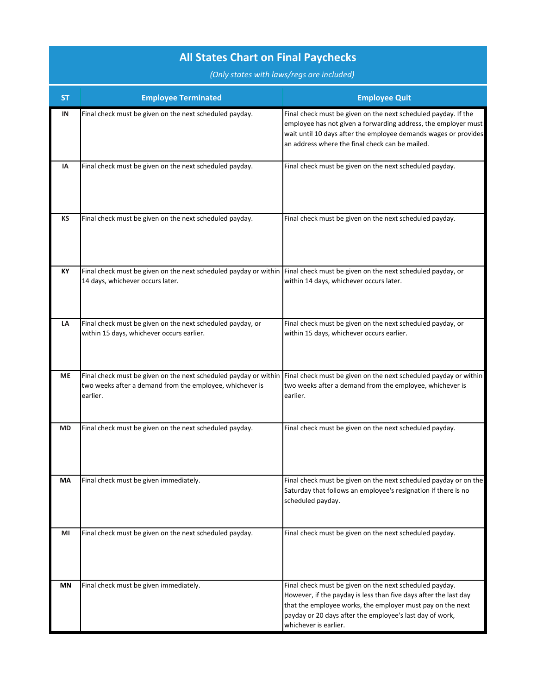| SΤ        | <b>Employee Terminated</b>                                                                                                                                      | <b>Employee Quit</b>                                                                                                                                                                                                                                                           |
|-----------|-----------------------------------------------------------------------------------------------------------------------------------------------------------------|--------------------------------------------------------------------------------------------------------------------------------------------------------------------------------------------------------------------------------------------------------------------------------|
| IN        | Final check must be given on the next scheduled payday.                                                                                                         | Final check must be given on the next scheduled payday. If the<br>employee has not given a forwarding address, the employer must<br>wait until 10 days after the employee demands wages or provides<br>an address where the final check can be mailed.                         |
| ΙA        | Final check must be given on the next scheduled payday.                                                                                                         | Final check must be given on the next scheduled payday.                                                                                                                                                                                                                        |
| KS        | Final check must be given on the next scheduled payday.                                                                                                         | Final check must be given on the next scheduled payday.                                                                                                                                                                                                                        |
| KY        | Final check must be given on the next scheduled payday or within Final check must be given on the next scheduled payday, or<br>14 days, whichever occurs later. | within 14 days, whichever occurs later.                                                                                                                                                                                                                                        |
| LA        | Final check must be given on the next scheduled payday, or<br>within 15 days, whichever occurs earlier.                                                         | Final check must be given on the next scheduled payday, or<br>within 15 days, whichever occurs earlier.                                                                                                                                                                        |
| <b>ME</b> | two weeks after a demand from the employee, whichever is<br>earlier.                                                                                            | Final check must be given on the next scheduled payday or within Final check must be given on the next scheduled payday or within<br>two weeks after a demand from the employee, whichever is<br>earlier.                                                                      |
| <b>MD</b> | Final check must be given on the next scheduled payday.                                                                                                         | Final check must be given on the next scheduled payday.                                                                                                                                                                                                                        |
| МA        | Final check must be given immediately.                                                                                                                          | Final check must be given on the next scheduled payday or on the<br>Saturday that follows an employee's resignation if there is no<br>scheduled payday.                                                                                                                        |
| MI        | Final check must be given on the next scheduled payday.                                                                                                         | Final check must be given on the next scheduled payday.                                                                                                                                                                                                                        |
| ΜN        | Final check must be given immediately.                                                                                                                          | Final check must be given on the next scheduled payday.<br>However, if the payday is less than five days after the last day<br>that the employee works, the employer must pay on the next<br>payday or 20 days after the employee's last day of work,<br>whichever is earlier. |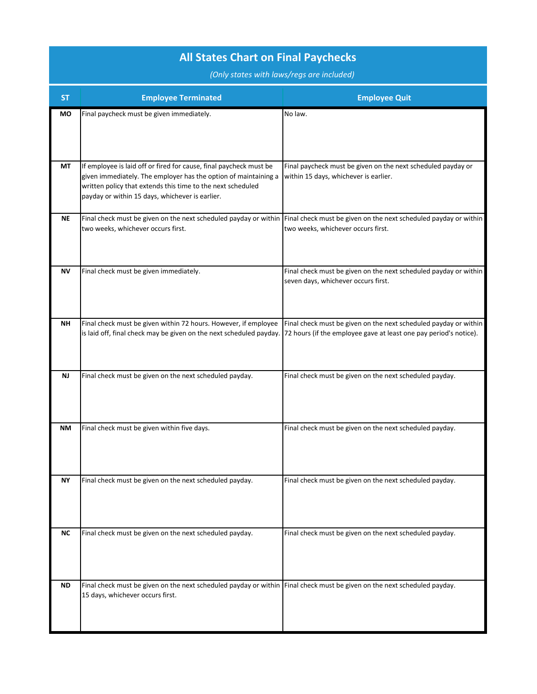| <b>ST</b> | <b>Employee Terminated</b>                                                                                                                                                                                                                              | <b>Employee Quit</b>                                                                                                                                                    |
|-----------|---------------------------------------------------------------------------------------------------------------------------------------------------------------------------------------------------------------------------------------------------------|-------------------------------------------------------------------------------------------------------------------------------------------------------------------------|
| МO        | Final paycheck must be given immediately.                                                                                                                                                                                                               | No law.                                                                                                                                                                 |
| <b>MT</b> | If employee is laid off or fired for cause, final paycheck must be<br>given immediately. The employer has the option of maintaining a<br>written policy that extends this time to the next scheduled<br>payday or within 15 days, whichever is earlier. | Final paycheck must be given on the next scheduled payday or<br>within 15 days, whichever is earlier.                                                                   |
| <b>NE</b> | two weeks, whichever occurs first.                                                                                                                                                                                                                      | Final check must be given on the next scheduled payday or within Final check must be given on the next scheduled payday or within<br>two weeks, whichever occurs first. |
| <b>NV</b> | Final check must be given immediately.                                                                                                                                                                                                                  | Final check must be given on the next scheduled payday or within<br>seven days, whichever occurs first.                                                                 |
| <b>NH</b> | Final check must be given within 72 hours. However, if employee<br>is laid off, final check may be given on the next scheduled payday. 72 hours (if the employee gave at least one pay period's notice).                                                | Final check must be given on the next scheduled payday or within                                                                                                        |
| <b>NJ</b> | Final check must be given on the next scheduled payday.                                                                                                                                                                                                 | Final check must be given on the next scheduled payday.                                                                                                                 |
| NΜ        | Final check must be given within five days.                                                                                                                                                                                                             | Final check must be given on the next scheduled payday.                                                                                                                 |
| NΥ        | Final check must be given on the next scheduled payday.                                                                                                                                                                                                 | Final check must be given on the next scheduled payday.                                                                                                                 |
| <b>NC</b> | Final check must be given on the next scheduled payday.                                                                                                                                                                                                 | Final check must be given on the next scheduled payday.                                                                                                                 |
| ND        | Final check must be given on the next scheduled payday or within Final check must be given on the next scheduled payday.<br>15 days, whichever occurs first.                                                                                            |                                                                                                                                                                         |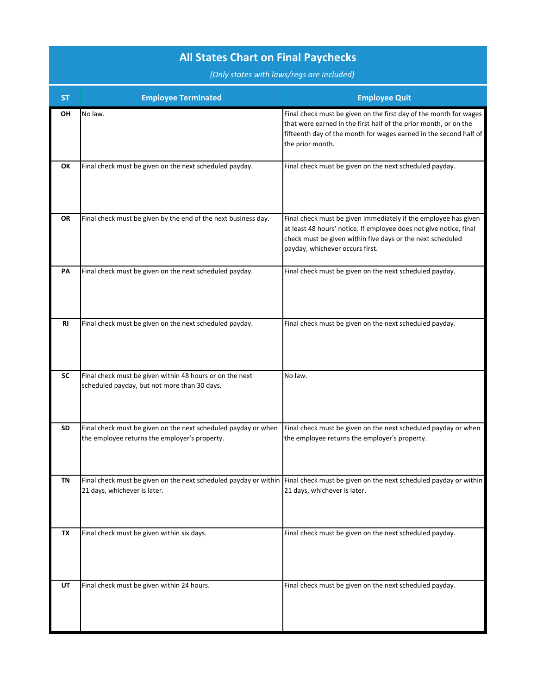| SΤ        | <b>Employee Terminated</b>                                                                                                                                        | <b>Employee Quit</b>                                                                                                                                                                                                                   |
|-----------|-------------------------------------------------------------------------------------------------------------------------------------------------------------------|----------------------------------------------------------------------------------------------------------------------------------------------------------------------------------------------------------------------------------------|
| OН        | No law.                                                                                                                                                           | Final check must be given on the first day of the month for wages<br>that were earned in the first half of the prior month, or on the<br>fifteenth day of the month for wages earned in the second half of<br>the prior month.         |
| ОК        | Final check must be given on the next scheduled payday.                                                                                                           | Final check must be given on the next scheduled payday.                                                                                                                                                                                |
| OR        | Final check must be given by the end of the next business day.                                                                                                    | Final check must be given immediately if the employee has given<br>at least 48 hours' notice. If employee does not give notice, final<br>check must be given within five days or the next scheduled<br>payday, whichever occurs first. |
| PA        | Final check must be given on the next scheduled payday.                                                                                                           | Final check must be given on the next scheduled payday.                                                                                                                                                                                |
| <b>RI</b> | Final check must be given on the next scheduled payday.                                                                                                           | Final check must be given on the next scheduled payday.                                                                                                                                                                                |
| <b>SC</b> | Final check must be given within 48 hours or on the next<br>scheduled payday, but not more than 30 days.                                                          | No law.                                                                                                                                                                                                                                |
| SD        | Final check must be given on the next scheduled payday or when<br>the employee returns the employer's property.                                                   | Final check must be given on the next scheduled payday or when<br>the employee returns the employer's property.                                                                                                                        |
| ΙN        | Final check must be given on the next scheduled payday or within Final check must be given on the next scheduled payday or within<br>21 days, whichever is later. | 21 days, whichever is later.                                                                                                                                                                                                           |
| TX        | Final check must be given within six days.                                                                                                                        | Final check must be given on the next scheduled payday.                                                                                                                                                                                |
| UT        | Final check must be given within 24 hours.                                                                                                                        | Final check must be given on the next scheduled payday.                                                                                                                                                                                |